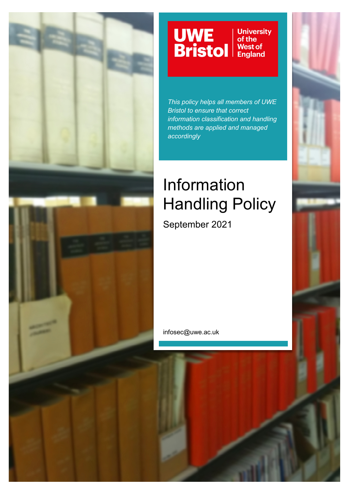

#### UWE<br>Bristol **University** of the West of<br>England

*This policy helps all members of UWE Bristol to ensure that correct information classification and handling methods are applied and managed accordingly*

# Information Handling Policy

September 2021

infosec@uwe.ac.uk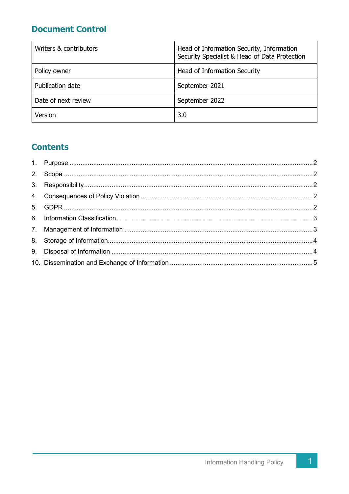# **Document Control**

| Writers & contributors | Head of Information Security, Information<br>Security Specialist & Head of Data Protection |
|------------------------|--------------------------------------------------------------------------------------------|
| Policy owner           | Head of Information Security                                                               |
| Publication date       | September 2021                                                                             |
| Date of next review    | September 2022                                                                             |
| Version                | 3.0                                                                                        |

# **Contents**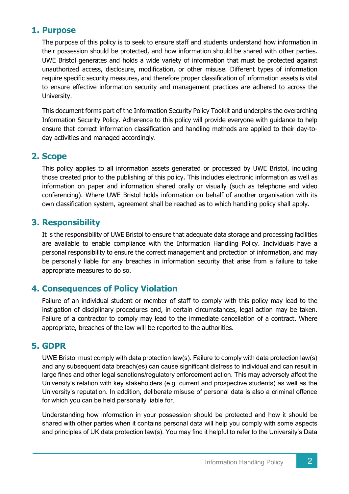#### **1. Purpose**

The purpose of this policy is to seek to ensure staff and students understand how information in their possession should be protected, and how information should be shared with other parties. UWE Bristol generates and holds a wide variety of information that must be protected against unauthorized access, disclosure, modification, or other misuse. Different types of information require specific security measures, and therefore proper classification of information assets is vital to ensure effective information security and management practices are adhered to across the University.

This document forms part of the Information Security Policy Toolkit and underpins the overarching Information Security Policy. Adherence to this policy will provide everyone with guidance to help ensure that correct information classification and handling methods are applied to their day-today activities and managed accordingly.

### **2. Scope**

This policy applies to all information assets generated or processed by UWE Bristol, including those created prior to the publishing of this policy. This includes electronic information as well as information on paper and information shared orally or visually (such as telephone and video conferencing). Where UWE Bristol holds information on behalf of another organisation with its own classification system, agreement shall be reached as to which handling policy shall apply.

#### **3. Responsibility**

It is the responsibility of UWE Bristol to ensure that adequate data storage and processing facilities are available to enable compliance with the Information Handling Policy. Individuals have a personal responsibility to ensure the correct management and protection of information, and may be personally liable for any breaches in information security that arise from a failure to take appropriate measures to do so.

#### **4. Consequences of Policy Violation**

Failure of an individual student or member of staff to comply with this policy may lead to the instigation of disciplinary procedures and, in certain circumstances, legal action may be taken. Failure of a contractor to comply may lead to the immediate cancellation of a contract. Where appropriate, breaches of the law will be reported to the authorities.

#### **5. GDPR**

UWE Bristol must comply with data protection law(s). Failure to comply with data protection law(s) and any subsequent data breach(es) can cause significant distress to individual and can result in large fines and other legal sanctions/regulatory enforcement action. This may adversely affect the University's relation with key stakeholders (e.g. current and prospective students) as well as the University's reputation. In addition, deliberate misuse of personal data is also a criminal offence for which you can be held personally liable for.

Understanding how information in your possession should be protected and how it should be shared with other parties when it contains personal data will help you comply with some aspects and principles of UK data protection law(s). You may find it helpful to refer to the University's Data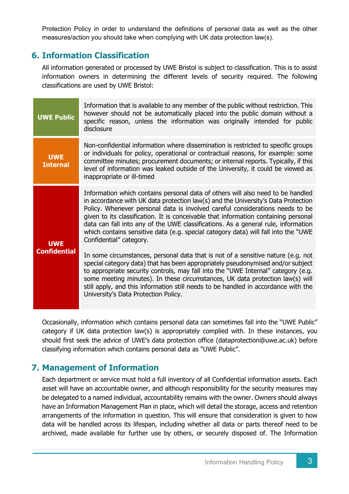Protection Policy in order to understand the definitions of personal data as well as the other measures/action you should take when complying with UK data protection law(s).

## **6. Information Classification**

All information generated or processed by UWE Bristol is subject to classification. This is to assist information owners in determining the different levels of security required. The following classifications are used by UWE Bristol:

| <b>UWE Public</b>                 | Information that is available to any member of the public without restriction. This<br>however should not be automatically placed into the public domain without a<br>specific reason, unless the information was originally intended for public<br>disclosure                                                                                                                                                                                                                                                                                                                                                                                                                                                                                                                                                                                                                                                                                                                                                                |
|-----------------------------------|-------------------------------------------------------------------------------------------------------------------------------------------------------------------------------------------------------------------------------------------------------------------------------------------------------------------------------------------------------------------------------------------------------------------------------------------------------------------------------------------------------------------------------------------------------------------------------------------------------------------------------------------------------------------------------------------------------------------------------------------------------------------------------------------------------------------------------------------------------------------------------------------------------------------------------------------------------------------------------------------------------------------------------|
| <b>UWE</b><br><b>Internal</b>     | Non-confidential information where dissemination is restricted to specific groups<br>or individuals for policy, operational or contractual reasons, for example: some<br>committee minutes; procurement documents; or internal reports. Typically, if this<br>level of information was leaked outside of the University, it could be viewed as<br>inappropriate or ill-timed                                                                                                                                                                                                                                                                                                                                                                                                                                                                                                                                                                                                                                                  |
| <b>UWE</b><br><b>Confidential</b> | Information which contains personal data of others will also need to be handled<br>in accordance with UK data protection law(s) and the University's Data Protection<br>Policy. Whenever personal data is involved careful considerations needs to be<br>given to its classification. It is conceivable that information containing personal<br>data can fall into any of the UWE classifications. As a general rule, information<br>which contains sensitive data (e.g. special category data) will fall into the "UWE<br>Confidential" category.<br>In some circumstances, personal data that is not of a sensitive nature (e.g. not<br>special category data) that has been appropriately pseudonymised and/or subject<br>to appropriate security controls, may fall into the "UWE Internal" category (e.g.<br>some meeting minutes). In these circumstances, UK data protection law(s) will<br>still apply, and this information still needs to be handled in accordance with the<br>University's Data Protection Policy. |

Occasionally, information which contains personal data can sometimes fall into the "UWE Public" category if UK data protection law(s) is appropriately complied with. In these instances, you should first seek the advice of UWE's data protection office (dataprotection@uwe.ac.uk) before classifying information which contains personal data as "UWE Public".

# **7. Management of Information**

Each department or service must hold a full inventory of all Confidential information assets. Each asset will have an accountable owner, and although responsibility for the security measures may be delegated to a named individual, accountability remains with the owner. Owners should always have an Information Management Plan in place, which will detail the storage, access and retention arrangements of the information in question. This will ensure that consideration is given to how data will be handled across its lifespan, including whether all data or parts thereof need to be archived, made available for further use by others, or securely disposed of. The Information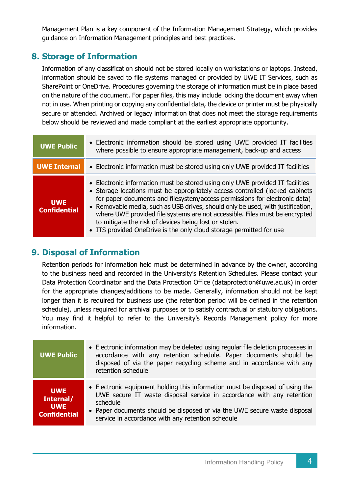Management Plan is a key component of the Information Management Strategy, which provides guidance on Information Management principles and best practices.

## **8. Storage of Information**

Information of any classification should not be stored locally on workstations or laptops. Instead, information should be saved to file systems managed or provided by UWE IT Services, such as SharePoint or OneDrive. Procedures governing the storage of information must be in place based on the nature of the document. For paper files, this may include locking the document away when not in use. When printing or copying any confidential data, the device or printer must be physically secure or attended. Archived or legacy information that does not meet the storage requirements below should be reviewed and made compliant at the earliest appropriate opportunity.

| <b>UWE Public</b>                 | • Electronic information should be stored using UWE provided IT facilities<br>where possible to ensure appropriate management, back-up and access                                                                                                                                                                                                                                                                                                                                                                                             |
|-----------------------------------|-----------------------------------------------------------------------------------------------------------------------------------------------------------------------------------------------------------------------------------------------------------------------------------------------------------------------------------------------------------------------------------------------------------------------------------------------------------------------------------------------------------------------------------------------|
| <b>UWE Internal</b>               | • Electronic information must be stored using only UWE provided IT facilities                                                                                                                                                                                                                                                                                                                                                                                                                                                                 |
| <b>UWE</b><br><b>Confidential</b> | • Electronic information must be stored using only UWE provided IT facilities<br>• Storage locations must be appropriately access controlled (locked cabinets<br>for paper documents and filesystem/access permissions for electronic data)<br>• Removable media, such as USB drives, should only be used, with justification,<br>where UWE provided file systems are not accessible. Files must be encrypted<br>to mitigate the risk of devices being lost or stolen.<br>• ITS provided OneDrive is the only cloud storage permitted for use |

## **9. Disposal of Information**

Retention periods for information held must be determined in advance by the owner, according to the business need and recorded in the University's Retention Schedules. Please contact your Data Protection Coordinator and the Data Protection Office (dataprotection@uwe.ac.uk) in order for the appropriate changes/additions to be made. Generally, information should not be kept longer than it is required for business use (the retention period will be defined in the retention schedule), unless required for archival purposes or to satisfy contractual or statutory obligations. You may find it helpful to refer to the University's Records Management policy for more information.

| <b>UWE Public</b>                                            | • Electronic information may be deleted using regular file deletion processes in<br>accordance with any retention schedule. Paper documents should be<br>disposed of via the paper recycling scheme and in accordance with any<br>retention schedule                                                 |
|--------------------------------------------------------------|------------------------------------------------------------------------------------------------------------------------------------------------------------------------------------------------------------------------------------------------------------------------------------------------------|
| <b>UWE</b><br>Internal/<br><b>UWE</b><br><b>Confidential</b> | • Electronic equipment holding this information must be disposed of using the<br>UWE secure IT waste disposal service in accordance with any retention<br>schedule<br>• Paper documents should be disposed of via the UWE secure waste disposal<br>service in accordance with any retention schedule |